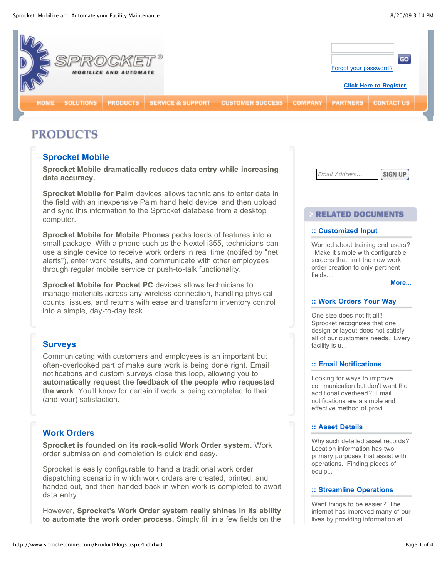

# **PRODUCTS**

# **[Sprocket Mobile](http://www.sprocketcmms.com/ProdBlogDetails.aspx?Bid=10)**

**Sprocket Mobile dramatically reduces data entry while increasing data accuracy.**

**Sprocket Mobile for Palm** devices allows technicians to enter data in the field with an inexpensive Palm hand held device, and then upload and sync this information to the Sprocket database from a desktop computer.

**Sprocket Mobile for Mobile Phones** packs loads of features into a small package. With a phone such as the Nextel i355, technicians can use a single device to receive work orders in real time (notifed by "net alerts"), enter work results, and communicate with other employees through regular mobile service or push-to-talk functionality.

**Sprocket Mobile for Pocket PC** devices allows technicians to manage materials across any wireless connection, handling physical counts, issues, and returns with ease and transform inventory control into a simple, day-to-day task.

# **[Surveys](http://www.sprocketcmms.com/ProdBlogDetails.aspx?Bid=13)**

Communicating with customers and employees is an important but often-overlooked part of make sure work is being done right. Email notifications and custom surveys close this loop, allowing you to **automatically request the feedback of the people who requested the work**. You'll know for certain if work is being completed to their (and your) satisfaction.

# **[Work Orders](http://www.sprocketcmms.com/ProdBlogDetails.aspx?Bid=26)**

**Sprocket is founded on its rock-solid Work Order system.** Work order submission and completion is quick and easy.

Sprocket is easily configurable to hand a traditional work order dispatching scenario in which work orders are created, printed, and handed out, and then handed back in when work is completed to await data entry.

However, **Sprocket's Work Order system really shines in its ability to automate the work order process.** Simply fill in a few fields on the *Email Address...* SIGN UP

## **RELATED DOCUMENTS**

## **:: Customized Input**

Worried about training end users? Make it simple with configurable screens that limit the new work order creation to only pertinent fields....

**[More...](http://www.sprocketcmms.com/ProductBlogs.aspx?Indid=0)**

## **:: Work Orders Your Way**

One size does not fit all!! Sprocket recognizes that one design or layout does not satisfy all of our customers needs. Every facility is u...

## **:: Email Notifications**

Looking for ways to improve communication but don't want the additional overhead? Email notifications are a simple and effective method of provi...

## **:: Asset Details**

Why such detailed asset records? Location information has two primary purposes that assist with operations. Finding pieces of equip...

## **:: Streamline Operations**

Want things to be easier? The internet has improved many of our lives by providing information at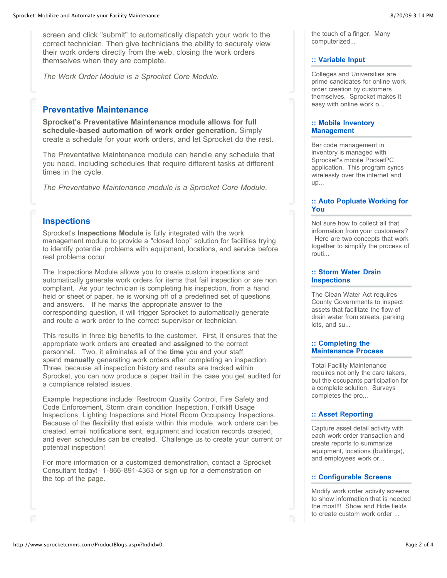screen and click "submit" to automatically dispatch your work to the correct technician. Then give technicians the ability to securely view their work orders directly from the web, closing the work orders themselves when they are complete.

*The Work Order Module is a Sprocket Core Module.*

# **[Preventative Maintenance](http://www.sprocketcmms.com/ProdBlogDetails.aspx?Bid=27)**

**Sprocket's Preventative Maintenance module allows for full schedule-based automation of work order generation.** Simply create a schedule for your work orders, and let Sprocket do the rest.

The Preventative Maintenance module can handle any schedule that you need, including schedules that require different tasks at different times in the cycle.

*The Preventative Maintenance module is a Sprocket Core Module.*

# **[Inspections](http://www.sprocketcmms.com/ProdBlogDetails.aspx?Bid=28)**

Sprocket's **Inspections Module** is fully integrated with the work management module to provide a "closed loop" solution for facilities trying to identify potential problems with equipment, locations, and service before real problems occur.

The Inspections Module allows you to create custom inspections and automatically generate work orders for items that fail inspection or are non compliant. As your technician is completing his inspection, from a hand held or sheet of paper, he is working off of a predefined set of questions and answers. If he marks the appropriate answer to the corresponding question, it will trigger Sprocket to automatically generate and route a work order to the correct supervisor or technician.

This results in three big benefits to the customer. First, it ensures that the appropriate work orders are **created** and **assigned** to the correct personnel. Two, it eliminates all of the **time** you and your staff spend **manually** generating work orders after completing an inspection. Three, because all inspection history and results are tracked within Sprocket, you can now produce a paper trail in the case you get audited for a compliance related issues.

Example Inspections include: Restroom Quality Control, Fire Safety and Code Enforcement, Storm drain condition Inspection, Forklift Usage Inspections, Lighting Inspections and Hotel Room Occupancy Inspections. Because of the flexibility that exists within this module, work orders can be created, email notifications sent, equipment and location records created, and even schedules can be created. Challenge us to create your current or potential inspection!

For more information or a customized demonstration, contact a Sprocket Consultant today! 1-866-891-4363 or sign up for a demonstration on the top of the page.

the touch of a finger. Many computerized...

## **:: Variable Input**

Colleges and Universities are prime candidates for online work order creation by customers themselves. Sprocket makes it easy with online work o...

## **:: Mobile Inventory Management**

Bar code management in inventory is managed with Sprocket''s mobile PocketPC application. This program syncs wirelessly over the internet and  $UD...$ 

## **:: Auto Popluate Working for You**

Not sure how to collect all that information from your customers? Here are two concepts that work together to simplify the process of routi...

# **:: Storm Water Drain Inspections**

The Clean Water Act requires County Governments to inspect assets that facilitate the flow of drain water from streets, parking lots, and su...

## **:: Completing the Maintenance Process**

Total Facility Maintenance requires not only the care takers, but the occupants participation for a complete solution. Surveys completes the pro...

## **:: Asset Reporting**

Capture asset detail activity with each work order transaction and create reports to summarize equipment, locations (buildings), and employees work or...

# **:: Configurable Screens**

Modify work order activity screens to show information that is needed the most!!! Show and Hide fields to create custom work order ...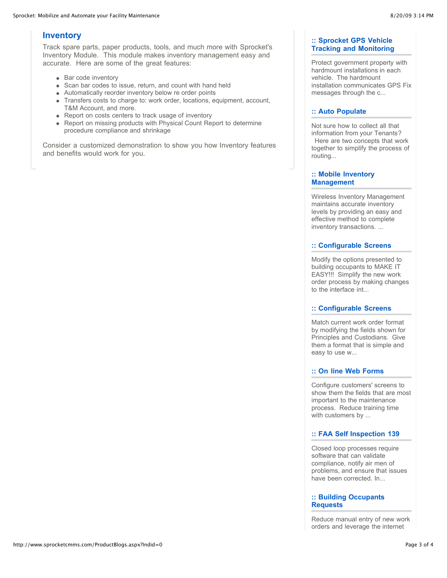# **[Inventory](http://www.sprocketcmms.com/ProdBlogDetails.aspx?Bid=29)**

Track spare parts, paper products, tools, and much more with Sprocket's Inventory Module. This module makes inventory management easy and accurate. Here are some of the great features:

- Bar code inventory
- Scan bar codes to issue, return, and count with hand held
- Automatically reorder inventory below re order points
- Transfers costs to charge to: work order, locations, equipment, account, T&M Account, and more.
- Report on costs centers to track usage of inventory
- Report on missing products with Physical Count Report to determine procedure compliance and shrinkage

Consider a customized demonstration to show you how Inventory features and benefits would work for you.

## **:: Sprocket GPS Vehicle Tracking and Monitoring**

Protect government property with hardmount installations in each vehicle. The hardmount installation communicates GPS Fix messages through the c...

## **:: Auto Populate**

Not sure how to collect all that information from your Tenants? Here are two concepts that work together to simplify the process of routing...

## **:: Mobile Inventory Management**

Wireless Inventory Management maintains accurate inventory levels by providing an easy and effective method to complete inventory transactions. ...

# **:: Configurable Screens**

Modify the options presented to building occupants to MAKE IT EASY!!! Simplify the new work order process by making changes to the interface int...

# **:: Configurable Screens**

Match current work order format by modifying the fields shown for Principles and Custodians. Give them a format that is simple and easy to use w...

# **:: On line Web Forms**

Configure customers' screens to show them the fields that are most important to the maintenance process. Reduce training time with customers by ...

# **:: FAA Self Inspection 139**

Closed loop processes require software that can validate compliance, notify air men of problems, and ensure that issues have been corrected. In...

## **:: Building Occupants Requests**

Reduce manual entry of new work orders and leverage the internet